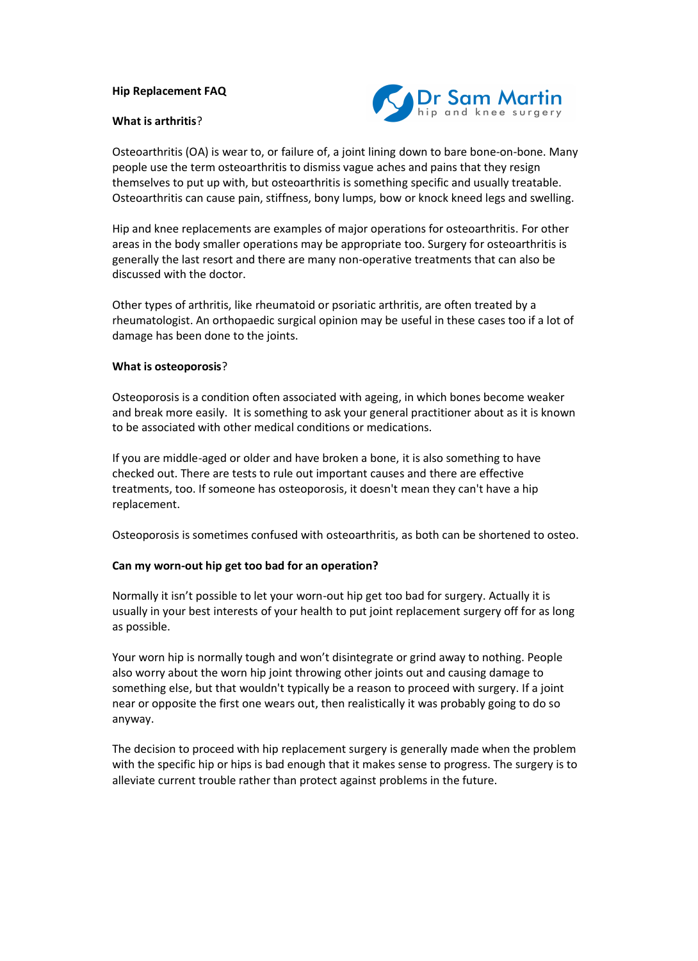#### **Hip Replacement FAQ**

#### **What is arthritis**?



Osteoarthritis (OA) is wear to, or failure of, a joint lining down to bare bone-on-bone. Many people use the term osteoarthritis to dismiss vague aches and pains that they resign themselves to put up with, but osteoarthritis is something specific and usually treatable. Osteoarthritis can cause pain, stiffness, bony lumps, bow or knock kneed legs and swelling.

Hip and knee replacements are examples of major operations for osteoarthritis. For other areas in the body smaller operations may be appropriate too. Surgery for osteoarthritis is generally the last resort and there are many non-operative treatments that can also be discussed with the doctor.

Other types of arthritis, like rheumatoid or psoriatic arthritis, are often treated by a rheumatologist. An orthopaedic surgical opinion may be useful in these cases too if a lot of damage has been done to the joints.

#### **What is osteoporosis**?

Osteoporosis is a condition often associated with ageing, in which bones become weaker and break more easily. It is something to ask your general practitioner about as it is known to be associated with other medical conditions or medications.

If you are middle-aged or older and have broken a bone, it is also something to have checked out. There are tests to rule out important causes and there are effective treatments, too. If someone has osteoporosis, it doesn't mean they can't have a hip replacement.

Osteoporosis is sometimes confused with osteoarthritis, as both can be shortened to osteo.

## **Can my worn-out hip get too bad for an operation?**

Normally it isn't possible to let your worn-out hip get too bad for surgery. Actually it is usually in your best interests of your health to put joint replacement surgery off for as long as possible.

Your worn hip is normally tough and won't disintegrate or grind away to nothing. People also worry about the worn hip joint throwing other joints out and causing damage to something else, but that wouldn't typically be a reason to proceed with surgery. If a joint near or opposite the first one wears out, then realistically it was probably going to do so anyway.

The decision to proceed with hip replacement surgery is generally made when the problem with the specific hip or hips is bad enough that it makes sense to progress. The surgery is to alleviate current trouble rather than protect against problems in the future.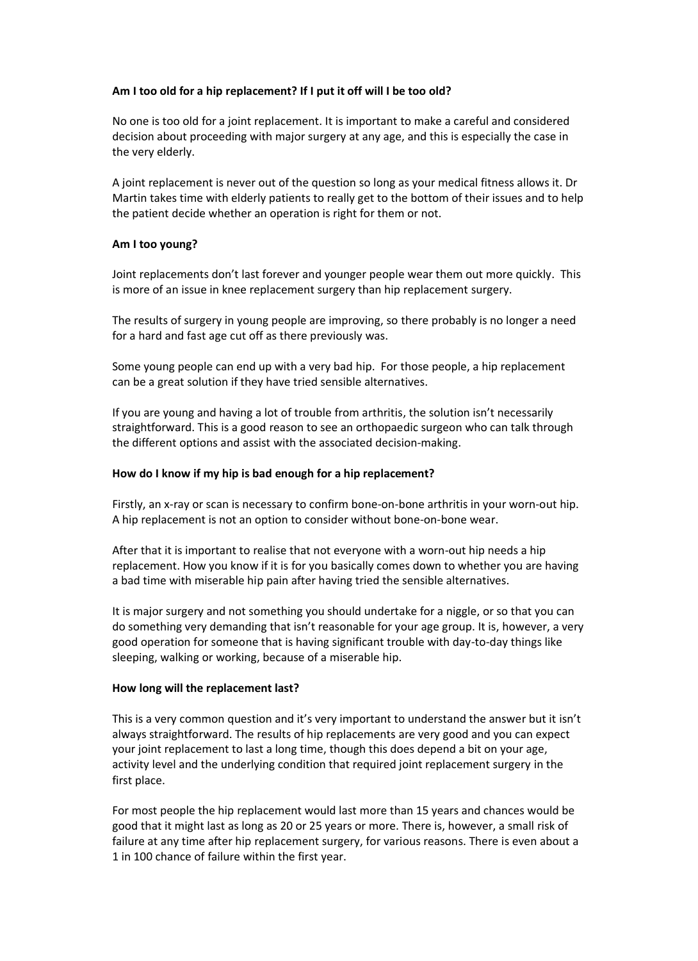# **Am I too old for a hip replacement? If I put it off will I be too old?**

No one is too old for a joint replacement. It is important to make a careful and considered decision about proceeding with major surgery at any age, and this is especially the case in the very elderly.

A joint replacement is never out of the question so long as your medical fitness allows it. Dr Martin takes time with elderly patients to really get to the bottom of their issues and to help the patient decide whether an operation is right for them or not.

## **Am I too young?**

Joint replacements don't last forever and younger people wear them out more quickly. This is more of an issue in knee replacement surgery than hip replacement surgery.

The results of surgery in young people are improving, so there probably is no longer a need for a hard and fast age cut off as there previously was.

Some young people can end up with a very bad hip. For those people, a hip replacement can be a great solution if they have tried sensible alternatives.

If you are young and having a lot of trouble from arthritis, the solution isn't necessarily straightforward. This is a good reason to see an orthopaedic surgeon who can talk through the different options and assist with the associated decision-making.

#### **How do I know if my hip is bad enough for a hip replacement?**

Firstly, an x-ray or scan is necessary to confirm bone-on-bone arthritis in your worn-out hip. A hip replacement is not an option to consider without bone-on-bone wear.

After that it is important to realise that not everyone with a worn-out hip needs a hip replacement. How you know if it is for you basically comes down to whether you are having a bad time with miserable hip pain after having tried the sensible alternatives.

It is major surgery and not something you should undertake for a niggle, or so that you can do something very demanding that isn't reasonable for your age group. It is, however, a very good operation for someone that is having significant trouble with day-to-day things like sleeping, walking or working, because of a miserable hip.

#### **How long will the replacement last?**

This is a very common question and it's very important to understand the answer but it isn't always straightforward. The results of hip replacements are very good and you can expect your joint replacement to last a long time, though this does depend a bit on your age, activity level and the underlying condition that required joint replacement surgery in the first place.

For most people the hip replacement would last more than 15 years and chances would be good that it might last as long as 20 or 25 years or more. There is, however, a small risk of failure at any time after hip replacement surgery, for various reasons. There is even about a 1 in 100 chance of failure within the first year.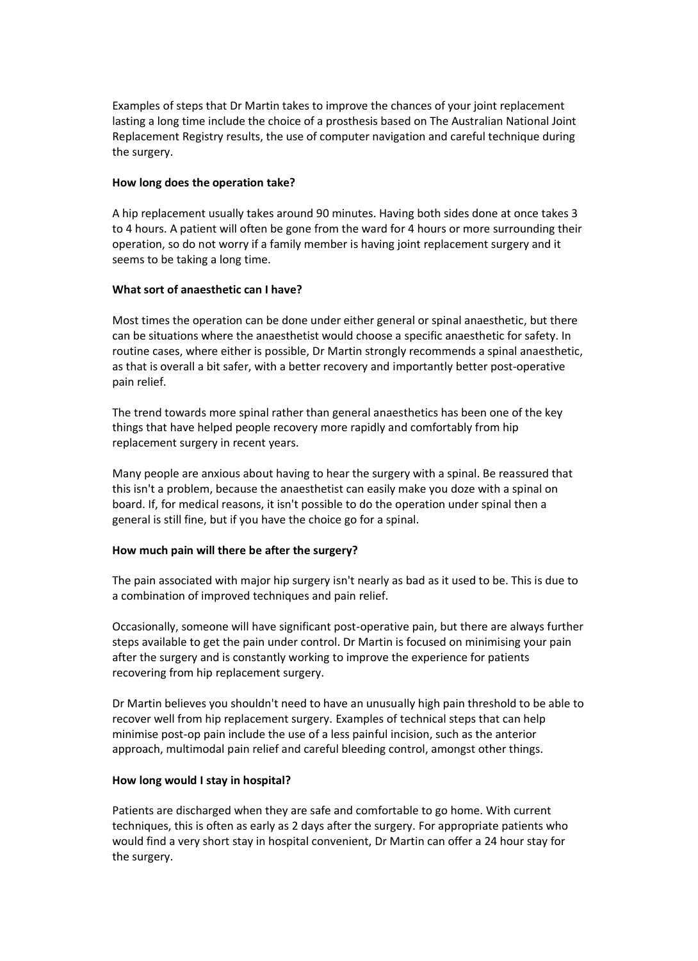Examples of steps that Dr Martin takes to improve the chances of your joint replacement lasting a long time include the choice of a prosthesis based on The Australian National Joint Replacement Registry results, the use of computer navigation and careful technique during the surgery.

#### **How long does the operation take?**

A hip replacement usually takes around 90 minutes. Having both sides done at once takes 3 to 4 hours. A patient will often be gone from the ward for 4 hours or more surrounding their operation, so do not worry if a family member is having joint replacement surgery and it seems to be taking a long time.

## **What sort of anaesthetic can I have?**

Most times the operation can be done under either general or spinal anaesthetic, but there can be situations where the anaesthetist would choose a specific anaesthetic for safety. In routine cases, where either is possible, Dr Martin strongly recommends a spinal anaesthetic, as that is overall a bit safer, with a better recovery and importantly better post-operative pain relief.

The trend towards more spinal rather than general anaesthetics has been one of the key things that have helped people recovery more rapidly and comfortably from hip replacement surgery in recent years.

Many people are anxious about having to hear the surgery with a spinal. Be reassured that this isn't a problem, because the anaesthetist can easily make you doze with a spinal on board. If, for medical reasons, it isn't possible to do the operation under spinal then a general is still fine, but if you have the choice go for a spinal.

## **How much pain will there be after the surgery?**

The pain associated with major hip surgery isn't nearly as bad as it used to be. This is due to a combination of improved techniques and pain relief.

Occasionally, someone will have significant post-operative pain, but there are always further steps available to get the pain under control. Dr Martin is focused on minimising your pain after the surgery and is constantly working to improve the experience for patients recovering from hip replacement surgery.

Dr Martin believes you shouldn't need to have an unusually high pain threshold to be able to recover well from hip replacement surgery. Examples of technical steps that can help minimise post-op pain include the use of a less painful incision, such as the anterior approach, multimodal pain relief and careful bleeding control, amongst other things.

## **How long would I stay in hospital?**

Patients are discharged when they are safe and comfortable to go home. With current techniques, this is often as early as 2 days after the surgery. For appropriate patients who would find a very short stay in hospital convenient, Dr Martin can offer a 24 hour stay for the surgery.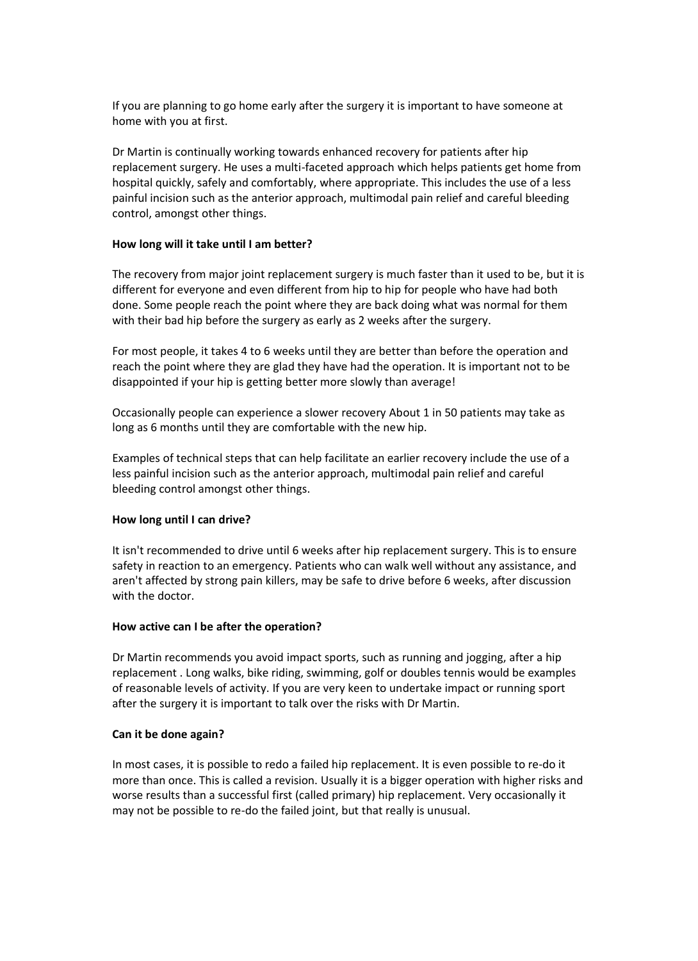If you are planning to go home early after the surgery it is important to have someone at home with you at first.

Dr Martin is continually working towards enhanced recovery for patients after hip replacement surgery. He uses a multi-faceted approach which helps patients get home from hospital quickly, safely and comfortably, where appropriate. This includes the use of a less painful incision such as the anterior approach, multimodal pain relief and careful bleeding control, amongst other things.

#### **How long will it take until I am better?**

The recovery from major joint replacement surgery is much faster than it used to be, but it is different for everyone and even different from hip to hip for people who have had both done. Some people reach the point where they are back doing what was normal for them with their bad hip before the surgery as early as 2 weeks after the surgery.

For most people, it takes 4 to 6 weeks until they are better than before the operation and reach the point where they are glad they have had the operation. It is important not to be disappointed if your hip is getting better more slowly than average!

Occasionally people can experience a slower recovery About 1 in 50 patients may take as long as 6 months until they are comfortable with the new hip.

Examples of technical steps that can help facilitate an earlier recovery include the use of a less painful incision such as the anterior approach, multimodal pain relief and careful bleeding control amongst other things.

## **How long until I can drive?**

It isn't recommended to drive until 6 weeks after hip replacement surgery. This is to ensure safety in reaction to an emergency. Patients who can walk well without any assistance, and aren't affected by strong pain killers, may be safe to drive before 6 weeks, after discussion with the doctor.

## **How active can I be after the operation?**

Dr Martin recommends you avoid impact sports, such as running and jogging, after a hip replacement . Long walks, bike riding, swimming, golf or doubles tennis would be examples of reasonable levels of activity. If you are very keen to undertake impact or running sport after the surgery it is important to talk over the risks with Dr Martin.

## **Can it be done again?**

In most cases, it is possible to redo a failed hip replacement. It is even possible to re-do it more than once. This is called a revision. Usually it is a bigger operation with higher risks and worse results than a successful first (called primary) hip replacement. Very occasionally it may not be possible to re-do the failed joint, but that really is unusual.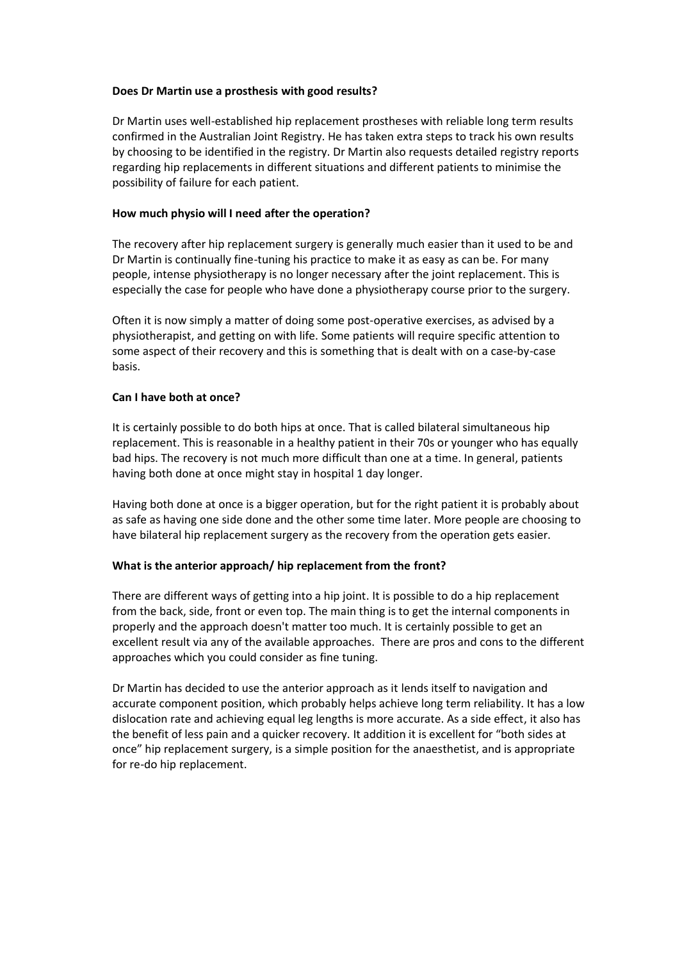#### **Does Dr Martin use a prosthesis with good results?**

Dr Martin uses well-established hip replacement prostheses with reliable long term results confirmed in the Australian Joint Registry. He has taken extra steps to track his own results by choosing to be identified in the registry. Dr Martin also requests detailed registry reports regarding hip replacements in different situations and different patients to minimise the possibility of failure for each patient.

## **How much physio will I need after the operation?**

The recovery after hip replacement surgery is generally much easier than it used to be and Dr Martin is continually fine-tuning his practice to make it as easy as can be. For many people, intense physiotherapy is no longer necessary after the joint replacement. This is especially the case for people who have done a physiotherapy course prior to the surgery.

Often it is now simply a matter of doing some post-operative exercises, as advised by a physiotherapist, and getting on with life. Some patients will require specific attention to some aspect of their recovery and this is something that is dealt with on a case-by-case basis.

## **Can I have both at once?**

It is certainly possible to do both hips at once. That is called bilateral simultaneous hip replacement. This is reasonable in a healthy patient in their 70s or younger who has equally bad hips. The recovery is not much more difficult than one at a time. In general, patients having both done at once might stay in hospital 1 day longer.

Having both done at once is a bigger operation, but for the right patient it is probably about as safe as having one side done and the other some time later. More people are choosing to have bilateral hip replacement surgery as the recovery from the operation gets easier.

#### **What is the anterior approach/ hip replacement from the front?**

There are different ways of getting into a hip joint. It is possible to do a hip replacement from the back, side, front or even top. The main thing is to get the internal components in properly and the approach doesn't matter too much. It is certainly possible to get an excellent result via any of the available approaches. There are pros and cons to the different approaches which you could consider as fine tuning.

Dr Martin has decided to use the anterior approach as it lends itself to navigation and accurate component position, which probably helps achieve long term reliability. It has a low dislocation rate and achieving equal leg lengths is more accurate. As a side effect, it also has the benefit of less pain and a quicker recovery. It addition it is excellent for "both sides at once" hip replacement surgery, is a simple position for the anaesthetist, and is appropriate for re-do hip replacement.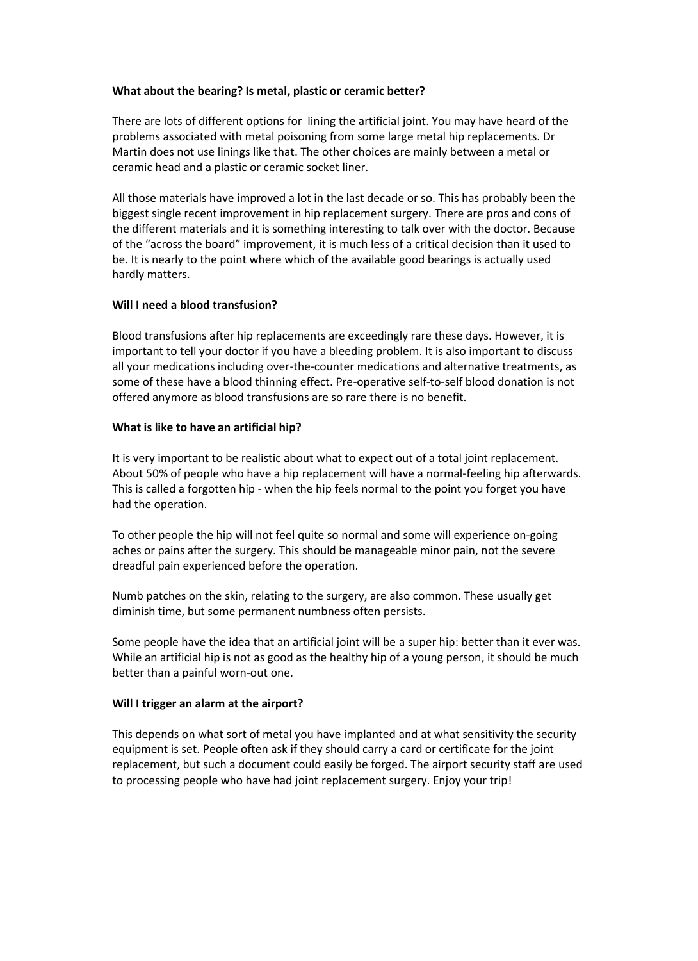## **What about the bearing? Is metal, plastic or ceramic better?**

There are lots of different options for lining the artificial joint. You may have heard of the problems associated with metal poisoning from some large metal hip replacements. Dr Martin does not use linings like that. The other choices are mainly between a metal or ceramic head and a plastic or ceramic socket liner.

All those materials have improved a lot in the last decade or so. This has probably been the biggest single recent improvement in hip replacement surgery. There are pros and cons of the different materials and it is something interesting to talk over with the doctor. Because of the "across the board" improvement, it is much less of a critical decision than it used to be. It is nearly to the point where which of the available good bearings is actually used hardly matters.

## **Will I need a blood transfusion?**

Blood transfusions after hip replacements are exceedingly rare these days. However, it is important to tell your doctor if you have a bleeding problem. It is also important to discuss all your medications including over-the-counter medications and alternative treatments, as some of these have a blood thinning effect. Pre-operative self-to-self blood donation is not offered anymore as blood transfusions are so rare there is no benefit.

## **What is like to have an artificial hip?**

It is very important to be realistic about what to expect out of a total joint replacement. About 50% of people who have a hip replacement will have a normal-feeling hip afterwards. This is called a forgotten hip - when the hip feels normal to the point you forget you have had the operation.

To other people the hip will not feel quite so normal and some will experience on-going aches or pains after the surgery. This should be manageable minor pain, not the severe dreadful pain experienced before the operation.

Numb patches on the skin, relating to the surgery, are also common. These usually get diminish time, but some permanent numbness often persists.

Some people have the idea that an artificial joint will be a super hip: better than it ever was. While an artificial hip is not as good as the healthy hip of a young person, it should be much better than a painful worn-out one.

## **Will I trigger an alarm at the airport?**

This depends on what sort of metal you have implanted and at what sensitivity the security equipment is set. People often ask if they should carry a card or certificate for the joint replacement, but such a document could easily be forged. The airport security staff are used to processing people who have had joint replacement surgery. Enjoy your trip!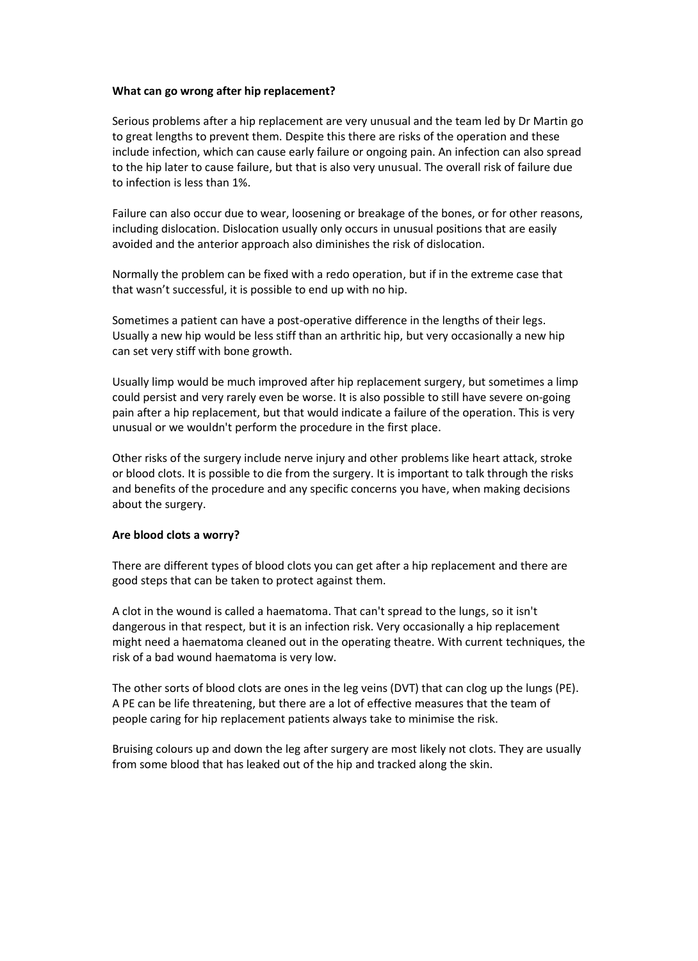#### **What can go wrong after hip replacement?**

Serious problems after a hip replacement are very unusual and the team led by Dr Martin go to great lengths to prevent them. Despite this there are risks of the operation and these include infection, which can cause early failure or ongoing pain. An infection can also spread to the hip later to cause failure, but that is also very unusual. The overall risk of failure due to infection is less than 1%.

Failure can also occur due to wear, loosening or breakage of the bones, or for other reasons, including dislocation. Dislocation usually only occurs in unusual positions that are easily avoided and the anterior approach also diminishes the risk of dislocation.

Normally the problem can be fixed with a redo operation, but if in the extreme case that that wasn't successful, it is possible to end up with no hip.

Sometimes a patient can have a post-operative difference in the lengths of their legs. Usually a new hip would be less stiff than an arthritic hip, but very occasionally a new hip can set very stiff with bone growth.

Usually limp would be much improved after hip replacement surgery, but sometimes a limp could persist and very rarely even be worse. It is also possible to still have severe on-going pain after a hip replacement, but that would indicate a failure of the operation. This is very unusual or we wouldn't perform the procedure in the first place.

Other risks of the surgery include nerve injury and other problems like heart attack, stroke or blood clots. It is possible to die from the surgery. It is important to talk through the risks and benefits of the procedure and any specific concerns you have, when making decisions about the surgery.

#### **Are blood clots a worry?**

There are different types of blood clots you can get after a hip replacement and there are good steps that can be taken to protect against them.

A clot in the wound is called a haematoma. That can't spread to the lungs, so it isn't dangerous in that respect, but it is an infection risk. Very occasionally a hip replacement might need a haematoma cleaned out in the operating theatre. With current techniques, the risk of a bad wound haematoma is very low.

The other sorts of blood clots are ones in the leg veins (DVT) that can clog up the lungs (PE). A PE can be life threatening, but there are a lot of effective measures that the team of people caring for hip replacement patients always take to minimise the risk.

Bruising colours up and down the leg after surgery are most likely not clots. They are usually from some blood that has leaked out of the hip and tracked along the skin.